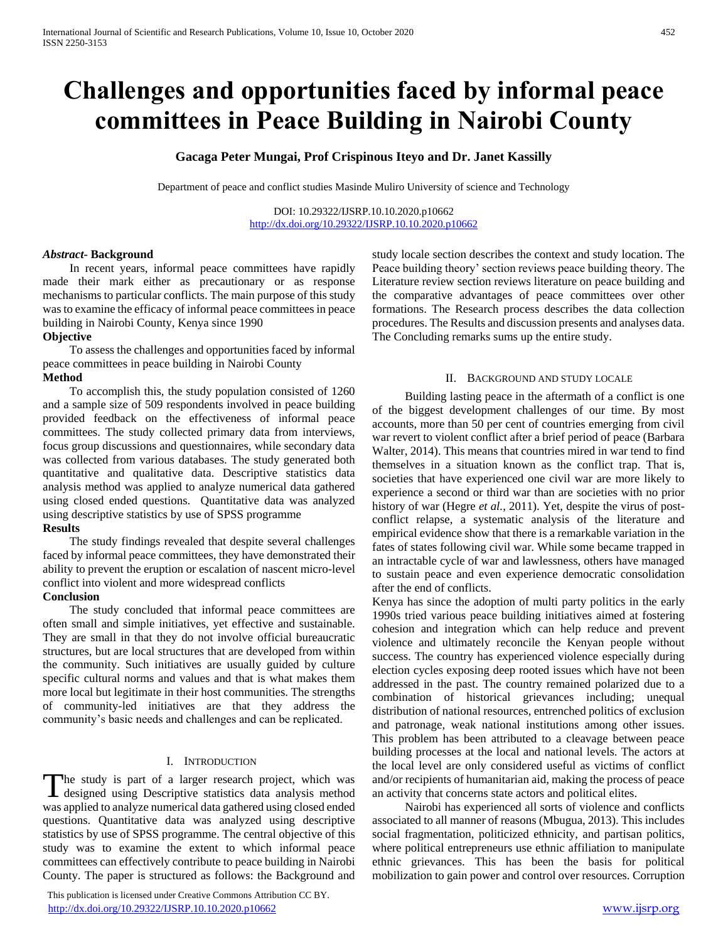# **Challenges and opportunities faced by informal peace committees in Peace Building in Nairobi County**

# **Gacaga Peter Mungai, Prof Crispinous Iteyo and Dr. Janet Kassilly**

Department of peace and conflict studies Masinde Muliro University of science and Technology

DOI: 10.29322/IJSRP.10.10.2020.p10662 <http://dx.doi.org/10.29322/IJSRP.10.10.2020.p10662>

#### *Abstract***- Background**

 In recent years, informal peace committees have rapidly made their mark either as precautionary or as response mechanisms to particular conflicts. The main purpose of this study was to examine the efficacy of informal peace committees in peace building in Nairobi County, Kenya since 1990

## **Objective**

 To assess the challenges and opportunities faced by informal peace committees in peace building in Nairobi County **Method** 

 To accomplish this, the study population consisted of 1260 and a sample size of 509 respondents involved in peace building provided feedback on the effectiveness of informal peace committees. The study collected primary data from interviews, focus group discussions and questionnaires, while secondary data was collected from various databases. The study generated both quantitative and qualitative data. Descriptive statistics data analysis method was applied to analyze numerical data gathered using closed ended questions. Quantitative data was analyzed using descriptive statistics by use of SPSS programme

## **Results**

 The study findings revealed that despite several challenges faced by informal peace committees, they have demonstrated their ability to prevent the eruption or escalation of nascent micro-level conflict into violent and more widespread conflicts

#### **Conclusion**

 The study concluded that informal peace committees are often small and simple initiatives, yet effective and sustainable. They are small in that they do not involve official bureaucratic structures, but are local structures that are developed from within the community. Such initiatives are usually guided by culture specific cultural norms and values and that is what makes them more local but legitimate in their host communities. The strengths of community-led initiatives are that they address the community's basic needs and challenges and can be replicated.

## I. INTRODUCTION

he study is part of a larger research project, which was The study is part of a larger research project, which was designed using Descriptive statistics data analysis method was applied to analyze numerical data gathered using closed ended questions. Quantitative data was analyzed using descriptive statistics by use of SPSS programme. The central objective of this study was to examine the extent to which informal peace committees can effectively contribute to peace building in Nairobi County. The paper is structured as follows: the Background and

 This publication is licensed under Creative Commons Attribution CC BY. <http://dx.doi.org/10.29322/IJSRP.10.10.2020.p10662> [www.ijsrp.org](http://ijsrp.org/)

study locale section describes the context and study location. The Peace building theory' section reviews peace building theory. The Literature review section reviews literature on peace building and the comparative advantages of peace committees over other formations. The Research process describes the data collection procedures. The Results and discussion presents and analyses data. The Concluding remarks sums up the entire study.

#### II. BACKGROUND AND STUDY LOCALE

 Building lasting peace in the aftermath of a conflict is one of the biggest development challenges of our time. By most accounts, more than 50 per cent of countries emerging from civil war revert to violent conflict after a brief period of peace (Barbara Walter, 2014). This means that countries mired in war tend to find themselves in a situation known as the conflict trap. That is, societies that have experienced one civil war are more likely to experience a second or third war than are societies with no prior history of war (Hegre *et al.*, 2011). Yet, despite the virus of postconflict relapse, a systematic analysis of the literature and empirical evidence show that there is a remarkable variation in the fates of states following civil war. While some became trapped in an intractable cycle of war and lawlessness, others have managed to sustain peace and even experience democratic consolidation after the end of conflicts.

Kenya has since the adoption of multi party politics in the early 1990s tried various peace building initiatives aimed at fostering cohesion and integration which can help reduce and prevent violence and ultimately reconcile the Kenyan people without success. The country has experienced violence especially during election cycles exposing deep rooted issues which have not been addressed in the past. The country remained polarized due to a combination of historical grievances including; unequal distribution of national resources, entrenched politics of exclusion and patronage, weak national institutions among other issues. This problem has been attributed to a cleavage between peace building processes at the local and national levels. The actors at the local level are only considered useful as victims of conflict and/or recipients of humanitarian aid, making the process of peace an activity that concerns state actors and political elites.

 Nairobi has experienced all sorts of violence and conflicts associated to all manner of reasons (Mbugua, 2013). This includes social fragmentation, politicized ethnicity, and partisan politics, where political entrepreneurs use ethnic affiliation to manipulate ethnic grievances. This has been the basis for political mobilization to gain power and control over resources. Corruption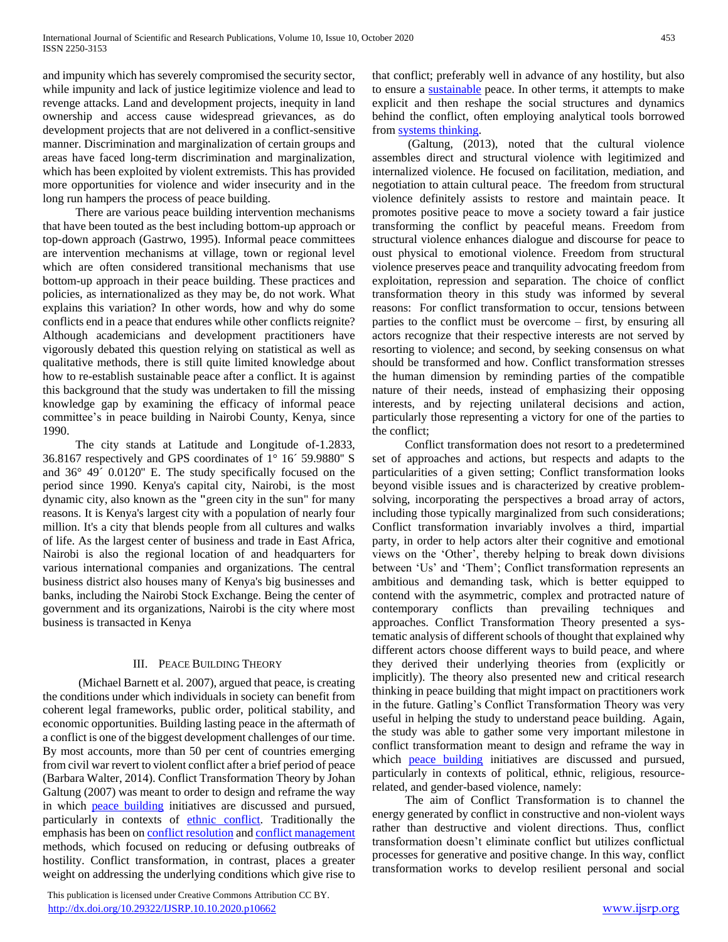and impunity which has severely compromised the security sector, while impunity and lack of justice legitimize violence and lead to revenge attacks. Land and development projects, inequity in land ownership and access cause widespread grievances, as do development projects that are not delivered in a conflict-sensitive manner. Discrimination and marginalization of certain groups and areas have faced long-term discrimination and marginalization, which has been exploited by violent extremists. This has provided more opportunities for violence and wider insecurity and in the long run hampers the process of peace building.

 There are various peace building intervention mechanisms that have been touted as the best including bottom-up approach or top-down approach (Gastrwo, 1995). Informal peace committees are intervention mechanisms at village, town or regional level which are often considered transitional mechanisms that use bottom-up approach in their peace building. These practices and policies, as internationalized as they may be, do not work. What explains this variation? In other words, how and why do some conflicts end in a peace that endures while other conflicts reignite? Although academicians and development practitioners have vigorously debated this question relying on statistical as well as qualitative methods, there is still quite limited knowledge about how to re-establish sustainable peace after a conflict. It is against this background that the study was undertaken to fill the missing knowledge gap by examining the efficacy of informal peace committee's in peace building in Nairobi County, Kenya, since 1990.

 The city stands at Latitude and Longitude of-1.2833, 36.8167 respectively and GPS coordinates of 1° 16´ 59.9880'' S and 36° 49´ 0.0120'' E. The study specifically focused on the period since 1990. Kenya's capital city, Nairobi, is the most dynamic city, also known as the **"**green city in the sun" for many reasons. It is Kenya's largest city with a population of nearly four million. It's a city that blends people from all cultures and walks of life. As the largest center of business and trade in East Africa, Nairobi is also the regional location of and headquarters for various international companies and organizations. The central business district also houses many of Kenya's big businesses and banks, including the Nairobi Stock Exchange. Being the center of government and its organizations, Nairobi is the city where most business is transacted in Kenya

# III. PEACE BUILDING THEORY

 (Michael Barnett et al. 2007), argued that peace, is creating the conditions under which individuals in society can benefit from coherent legal frameworks, public order, political stability, and economic opportunities. Building lasting peace in the aftermath of a conflict is one of the biggest development challenges of our time. By most accounts, more than 50 per cent of countries emerging from civil war revert to violent conflict after a brief period of peace (Barbara Walter, 2014). Conflict Transformation Theory by Johan Galtung (2007) was meant to order to design and reframe the way in which [peace building](https://en.wikipedia.org/wiki/Peacebuilding) initiatives are discussed and pursued, particularly in contexts of [ethnic conflict.](https://en.wikipedia.org/wiki/Ethnic_conflict) Traditionally the emphasis has been on [conflict resolution](https://en.wikipedia.org/wiki/Conflict_resolution) an[d conflict management](https://en.wikipedia.org/wiki/Conflict_management) methods, which focused on reducing or defusing outbreaks of hostility. Conflict transformation, in contrast, places a greater weight on addressing the underlying conditions which give rise to

 This publication is licensed under Creative Commons Attribution CC BY. <http://dx.doi.org/10.29322/IJSRP.10.10.2020.p10662> [www.ijsrp.org](http://ijsrp.org/)

that conflict; preferably well in advance of any hostility, but also to ensure a [sustainable](https://en.wikipedia.org/wiki/Sustainable) peace. In other terms, it attempts to make explicit and then reshape the social structures and dynamics behind the conflict, often employing analytical tools borrowed from [systems thinking.](https://en.wikipedia.org/wiki/Systems_thinking)

 (Galtung, (2013), noted that the cultural violence assembles direct and structural violence with legitimized and internalized violence. He focused on facilitation, mediation, and negotiation to attain cultural peace. The freedom from structural violence definitely assists to restore and maintain peace. It promotes positive peace to move a society toward a fair justice transforming the conflict by peaceful means. Freedom from structural violence enhances dialogue and discourse for peace to oust physical to emotional violence. Freedom from structural violence preserves peace and tranquility advocating freedom from exploitation, repression and separation. The choice of conflict transformation theory in this study was informed by several reasons: For conflict transformation to occur, tensions between parties to the conflict must be overcome – first, by ensuring all actors recognize that their respective interests are not served by resorting to violence; and second, by seeking consensus on what should be transformed and how. Conflict transformation stresses the human dimension by reminding parties of the compatible nature of their needs, instead of emphasizing their opposing interests, and by rejecting unilateral decisions and action, particularly those representing a victory for one of the parties to the conflict;

 Conflict transformation does not resort to a predetermined set of approaches and actions, but respects and adapts to the particularities of a given setting; Conflict transformation looks beyond visible issues and is characterized by creative problemsolving, incorporating the perspectives a broad array of actors, including those typically marginalized from such considerations; Conflict transformation invariably involves a third, impartial party, in order to help actors alter their cognitive and emotional views on the 'Other', thereby helping to break down divisions between 'Us' and 'Them'; Conflict transformation represents an ambitious and demanding task, which is better equipped to contend with the asymmetric, complex and protracted nature of contemporary conflicts than prevailing techniques and approaches. Conflict Transformation Theory presented a systematic analysis of different schools of thought that explained why different actors choose different ways to build peace, and where they derived their underlying theories from (explicitly or implicitly). The theory also presented new and critical research thinking in peace building that might impact on practitioners work in the future. Gatling's Conflict Transformation Theory was very useful in helping the study to understand peace building. Again, the study was able to gather some very important milestone in conflict transformation meant to design and reframe the way in which [peace building](https://en.wikipedia.org/wiki/Peacebuilding) initiatives are discussed and pursued, particularly in contexts of political, ethnic, religious, resourcerelated, and gender-based violence, namely:

 The aim of Conflict Transformation is to channel the energy generated by conflict in constructive and non-violent ways rather than destructive and violent directions. Thus, conflict transformation doesn't eliminate conflict but utilizes conflictual processes for generative and positive change. In this way, conflict transformation works to develop resilient personal and social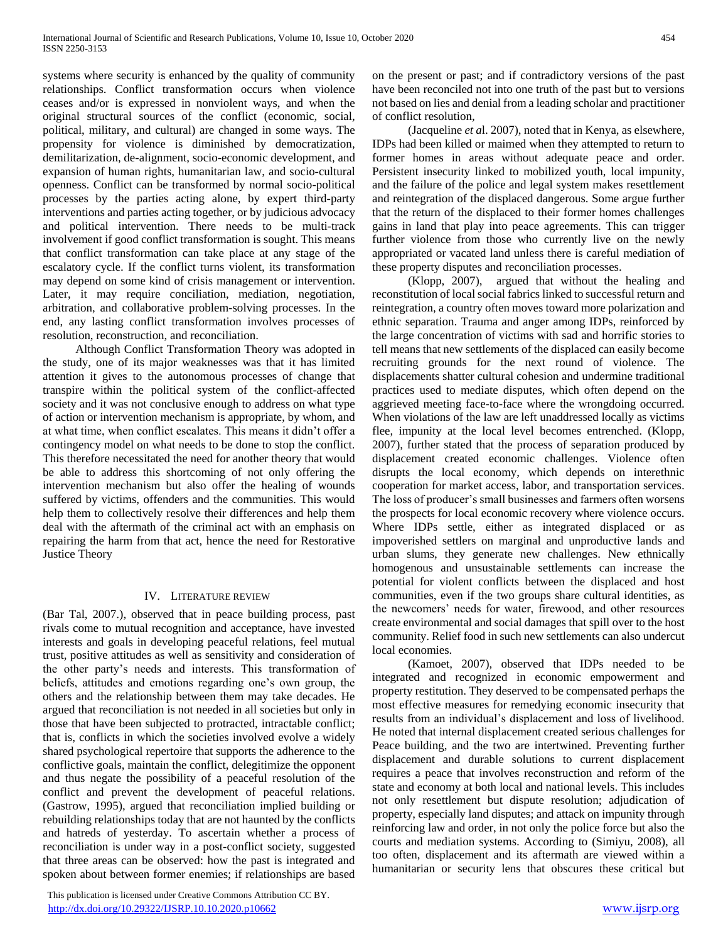systems where security is enhanced by the quality of community relationships. Conflict transformation occurs when violence ceases and/or is expressed in nonviolent ways, and when the original structural sources of the conflict (economic, social, political, military, and cultural) are changed in some ways. The propensity for violence is diminished by democratization, demilitarization, de-alignment, socio-economic development, and expansion of human rights, humanitarian law, and socio-cultural openness. Conflict can be transformed by normal socio-political processes by the parties acting alone, by expert third-party interventions and parties acting together, or by judicious advocacy and political intervention. There needs to be multi-track involvement if good conflict transformation is sought. This means that conflict transformation can take place at any stage of the escalatory cycle. If the conflict turns violent, its transformation may depend on some kind of crisis management or intervention. Later, it may require conciliation, mediation, negotiation, arbitration, and collaborative problem-solving processes. In the end, any lasting conflict transformation involves processes of resolution, reconstruction, and reconciliation.

 Although Conflict Transformation Theory was adopted in the study, one of its major weaknesses was that it has limited attention it gives to the autonomous processes of change that transpire within the political system of the conflict-affected society and it was not conclusive enough to address on what type of action or intervention mechanism is appropriate, by whom, and at what time, when conflict escalates. This means it didn't offer a contingency model on what needs to be done to stop the conflict. This therefore necessitated the need for another theory that would be able to address this shortcoming of not only offering the intervention mechanism but also offer the healing of wounds suffered by victims, offenders and the communities. This would help them to collectively resolve their differences and help them deal with the aftermath of the criminal act with an emphasis on repairing the harm from that act, hence the need for Restorative Justice Theory

## IV. LITERATURE REVIEW

(Bar Tal, 2007.), observed that in peace building process, past rivals come to mutual recognition and acceptance, have invested interests and goals in developing peaceful relations, feel mutual trust, positive attitudes as well as sensitivity and consideration of the other party's needs and interests. This transformation of beliefs, attitudes and emotions regarding one's own group, the others and the relationship between them may take decades. He argued that reconciliation is not needed in all societies but only in those that have been subjected to protracted, intractable conflict; that is, conflicts in which the societies involved evolve a widely shared psychological repertoire that supports the adherence to the conflictive goals, maintain the conflict, delegitimize the opponent and thus negate the possibility of a peaceful resolution of the conflict and prevent the development of peaceful relations. (Gastrow, 1995), argued that reconciliation implied building or rebuilding relationships today that are not haunted by the conflicts and hatreds of yesterday. To ascertain whether a process of reconciliation is under way in a post-conflict society, suggested that three areas can be observed: how the past is integrated and spoken about between former enemies; if relationships are based

 This publication is licensed under Creative Commons Attribution CC BY. <http://dx.doi.org/10.29322/IJSRP.10.10.2020.p10662> [www.ijsrp.org](http://ijsrp.org/)

on the present or past; and if contradictory versions of the past have been reconciled not into one truth of the past but to versions not based on lies and denial from a leading scholar and practitioner of conflict resolution,

 (Jacqueline *et a*l. 2007), noted that in Kenya, as elsewhere, IDPs had been killed or maimed when they attempted to return to former homes in areas without adequate peace and order. Persistent insecurity linked to mobilized youth, local impunity, and the failure of the police and legal system makes resettlement and reintegration of the displaced dangerous. Some argue further that the return of the displaced to their former homes challenges gains in land that play into peace agreements. This can trigger further violence from those who currently live on the newly appropriated or vacated land unless there is careful mediation of these property disputes and reconciliation processes.

 (Klopp, 2007), argued that without the healing and reconstitution of local social fabrics linked to successful return and reintegration, a country often moves toward more polarization and ethnic separation. Trauma and anger among IDPs, reinforced by the large concentration of victims with sad and horrific stories to tell means that new settlements of the displaced can easily become recruiting grounds for the next round of violence. The displacements shatter cultural cohesion and undermine traditional practices used to mediate disputes, which often depend on the aggrieved meeting face-to-face where the wrongdoing occurred. When violations of the law are left unaddressed locally as victims flee, impunity at the local level becomes entrenched. (Klopp, 2007), further stated that the process of separation produced by displacement created economic challenges. Violence often disrupts the local economy, which depends on interethnic cooperation for market access, labor, and transportation services. The loss of producer's small businesses and farmers often worsens the prospects for local economic recovery where violence occurs. Where IDPs settle, either as integrated displaced or as impoverished settlers on marginal and unproductive lands and urban slums, they generate new challenges. New ethnically homogenous and unsustainable settlements can increase the potential for violent conflicts between the displaced and host communities, even if the two groups share cultural identities, as the newcomers' needs for water, firewood, and other resources create environmental and social damages that spill over to the host community. Relief food in such new settlements can also undercut local economies.

 (Kamoet, 2007), observed that IDPs needed to be integrated and recognized in economic empowerment and property restitution. They deserved to be compensated perhaps the most effective measures for remedying economic insecurity that results from an individual's displacement and loss of livelihood. He noted that internal displacement created serious challenges for Peace building, and the two are intertwined. Preventing further displacement and durable solutions to current displacement requires a peace that involves reconstruction and reform of the state and economy at both local and national levels. This includes not only resettlement but dispute resolution; adjudication of property, especially land disputes; and attack on impunity through reinforcing law and order, in not only the police force but also the courts and mediation systems. According to (Simiyu, 2008), all too often, displacement and its aftermath are viewed within a humanitarian or security lens that obscures these critical but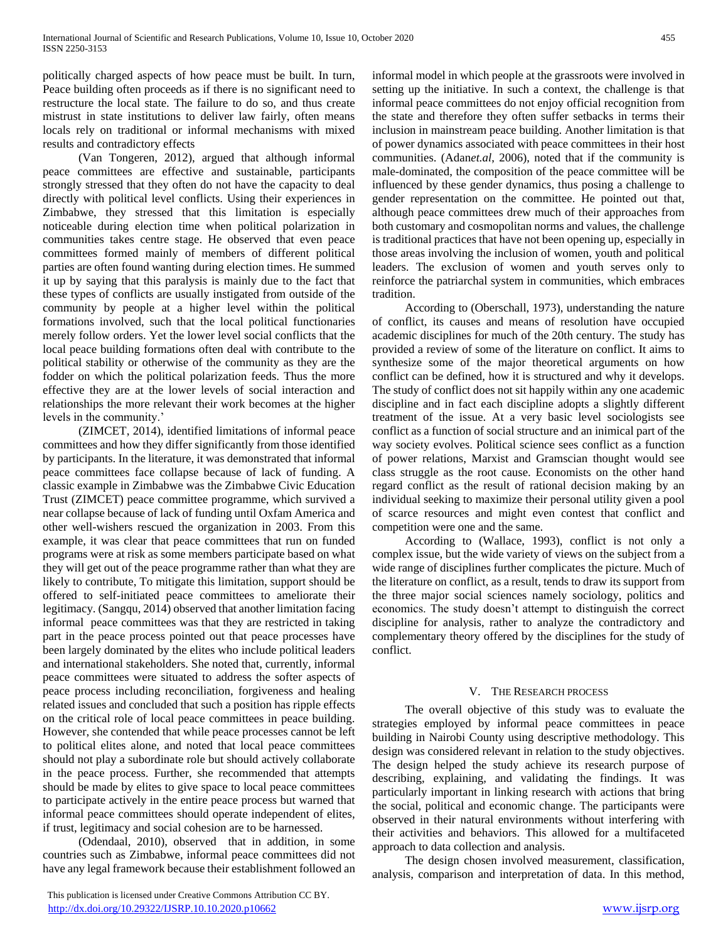politically charged aspects of how peace must be built. In turn, Peace building often proceeds as if there is no significant need to restructure the local state. The failure to do so, and thus create mistrust in state institutions to deliver law fairly, often means locals rely on traditional or informal mechanisms with mixed results and contradictory effects

 (Van Tongeren, 2012), argued that although informal peace committees are effective and sustainable, participants strongly stressed that they often do not have the capacity to deal directly with political level conflicts. Using their experiences in Zimbabwe, they stressed that this limitation is especially noticeable during election time when political polarization in communities takes centre stage. He observed that even peace committees formed mainly of members of different political parties are often found wanting during election times. He summed it up by saying that this paralysis is mainly due to the fact that these types of conflicts are usually instigated from outside of the community by people at a higher level within the political formations involved, such that the local political functionaries merely follow orders. Yet the lower level social conflicts that the local peace building formations often deal with contribute to the political stability or otherwise of the community as they are the fodder on which the political polarization feeds. Thus the more effective they are at the lower levels of social interaction and relationships the more relevant their work becomes at the higher levels in the community.'

 (ZIMCET, 2014), identified limitations of informal peace committees and how they differ significantly from those identified by participants. In the literature, it was demonstrated that informal peace committees face collapse because of lack of funding. A classic example in Zimbabwe was the Zimbabwe Civic Education Trust (ZIMCET) peace committee programme, which survived a near collapse because of lack of funding until Oxfam America and other well-wishers rescued the organization in 2003. From this example, it was clear that peace committees that run on funded programs were at risk as some members participate based on what they will get out of the peace programme rather than what they are likely to contribute, To mitigate this limitation, support should be offered to self-initiated peace committees to ameliorate their legitimacy. (Sangqu, 2014) observed that another limitation facing informal peace committees was that they are restricted in taking part in the peace process pointed out that peace processes have been largely dominated by the elites who include political leaders and international stakeholders. She noted that, currently, informal peace committees were situated to address the softer aspects of peace process including reconciliation, forgiveness and healing related issues and concluded that such a position has ripple effects on the critical role of local peace committees in peace building. However, she contended that while peace processes cannot be left to political elites alone, and noted that local peace committees should not play a subordinate role but should actively collaborate in the peace process. Further, she recommended that attempts should be made by elites to give space to local peace committees to participate actively in the entire peace process but warned that informal peace committees should operate independent of elites, if trust, legitimacy and social cohesion are to be harnessed.

 (Odendaal, 2010), observed that in addition, in some countries such as Zimbabwe, informal peace committees did not have any legal framework because their establishment followed an informal model in which people at the grassroots were involved in setting up the initiative. In such a context, the challenge is that informal peace committees do not enjoy official recognition from the state and therefore they often suffer setbacks in terms their inclusion in mainstream peace building. Another limitation is that of power dynamics associated with peace committees in their host communities. (Adan*et.al*, 2006), noted that if the community is male-dominated, the composition of the peace committee will be influenced by these gender dynamics, thus posing a challenge to gender representation on the committee. He pointed out that, although peace committees drew much of their approaches from both customary and cosmopolitan norms and values, the challenge

is traditional practices that have not been opening up, especially in those areas involving the inclusion of women, youth and political leaders. The exclusion of women and youth serves only to reinforce the patriarchal system in communities, which embraces tradition.

 According to (Oberschall, 1973), understanding the nature of conflict, its causes and means of resolution have occupied academic disciplines for much of the 20th century. The study has provided a review of some of the literature on conflict. It aims to synthesize some of the major theoretical arguments on how conflict can be defined, how it is structured and why it develops. The study of conflict does not sit happily within any one academic discipline and in fact each discipline adopts a slightly different treatment of the issue. At a very basic level sociologists see conflict as a function of social structure and an inimical part of the way society evolves. Political science sees conflict as a function of power relations, Marxist and Gramscian thought would see class struggle as the root cause. Economists on the other hand regard conflict as the result of rational decision making by an individual seeking to maximize their personal utility given a pool of scarce resources and might even contest that conflict and competition were one and the same.

 According to (Wallace, 1993), conflict is not only a complex issue, but the wide variety of views on the subject from a wide range of disciplines further complicates the picture. Much of the literature on conflict, as a result, tends to draw its support from the three major social sciences namely sociology, politics and economics. The study doesn't attempt to distinguish the correct discipline for analysis, rather to analyze the contradictory and complementary theory offered by the disciplines for the study of conflict.

#### V. THE RESEARCH PROCESS

 The overall objective of this study was to evaluate the strategies employed by informal peace committees in peace building in Nairobi County using descriptive methodology. This design was considered relevant in relation to the study objectives. The design helped the study achieve its research purpose of describing, explaining, and validating the findings. It was particularly important in linking research with actions that bring the social, political and economic change. The participants were observed in their natural environments without interfering with their activities and behaviors. This allowed for a multifaceted approach to data collection and analysis.

 The design chosen involved measurement, classification, analysis, comparison and interpretation of data. In this method,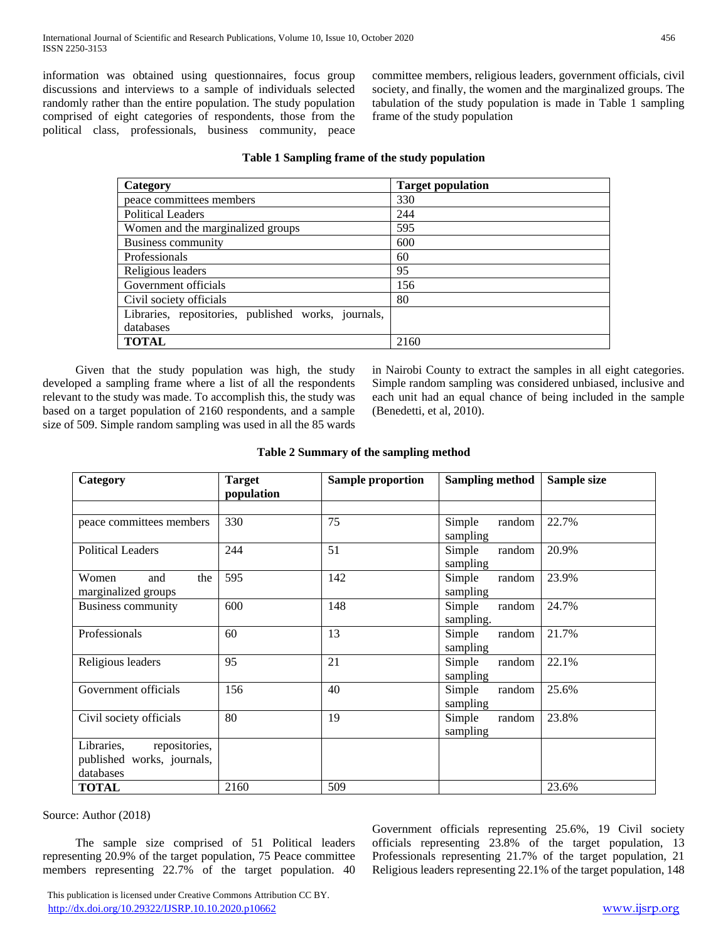information was obtained using questionnaires, focus group discussions and interviews to a sample of individuals selected randomly rather than the entire population. The study population comprised of eight categories of respondents, those from the political class, professionals, business community, peace committee members, religious leaders, government officials, civil society, and finally, the women and the marginalized groups. The tabulation of the study population is made in Table 1 sampling frame of the study population

# **Table 1 Sampling frame of the study population**

| Category                                            | <b>Target population</b> |
|-----------------------------------------------------|--------------------------|
| peace committees members                            | 330                      |
| <b>Political Leaders</b>                            | 244                      |
| Women and the marginalized groups                   | 595                      |
| <b>Business community</b>                           | 600                      |
| Professionals                                       | 60                       |
| Religious leaders                                   | 95                       |
| Government officials                                | 156                      |
| Civil society officials                             | 80                       |
| Libraries, repositories, published works, journals, |                          |
| databases                                           |                          |
| <b>TOTAL</b>                                        | 2160                     |

 Given that the study population was high, the study developed a sampling frame where a list of all the respondents relevant to the study was made. To accomplish this, the study was based on a target population of 2160 respondents, and a sample size of 509. Simple random sampling was used in all the 85 wards in Nairobi County to extract the samples in all eight categories. Simple random sampling was considered unbiased, inclusive and each unit had an equal chance of being included in the sample (Benedetti, et al, 2010).

# **Table 2 Summary of the sampling method**

| Category                                                               | <b>Target</b><br>population | <b>Sample proportion</b> | <b>Sampling method</b>        | Sample size |
|------------------------------------------------------------------------|-----------------------------|--------------------------|-------------------------------|-------------|
|                                                                        |                             |                          |                               |             |
| peace committees members                                               | 330                         | 75                       | Simple<br>random<br>sampling  | 22.7%       |
| <b>Political Leaders</b>                                               | 244                         | 51                       | Simple<br>random<br>sampling  | 20.9%       |
| Women<br>the<br>and<br>marginalized groups                             | 595                         | 142                      | Simple<br>random<br>sampling  | 23.9%       |
| <b>Business community</b>                                              | 600                         | 148                      | random<br>Simple<br>sampling. | 24.7%       |
| Professionals                                                          | 60                          | 13                       | Simple<br>random<br>sampling  | 21.7%       |
| Religious leaders                                                      | 95                          | 21                       | Simple<br>random<br>sampling  | 22.1%       |
| Government officials                                                   | 156                         | 40                       | Simple<br>random<br>sampling  | 25.6%       |
| Civil society officials                                                | 80                          | 19                       | Simple<br>random<br>sampling  | 23.8%       |
| Libraries,<br>repositories,<br>published works, journals,<br>databases |                             |                          |                               |             |
| <b>TOTAL</b>                                                           | 2160                        | 509                      |                               | 23.6%       |

Source: Author (2018)

 The sample size comprised of 51 Political leaders representing 20.9% of the target population, 75 Peace committee members representing 22.7% of the target population. 40 Government officials representing 25.6%, 19 Civil society officials representing 23.8% of the target population, 13 Professionals representing 21.7% of the target population, 21 Religious leaders representing 22.1% of the target population, 148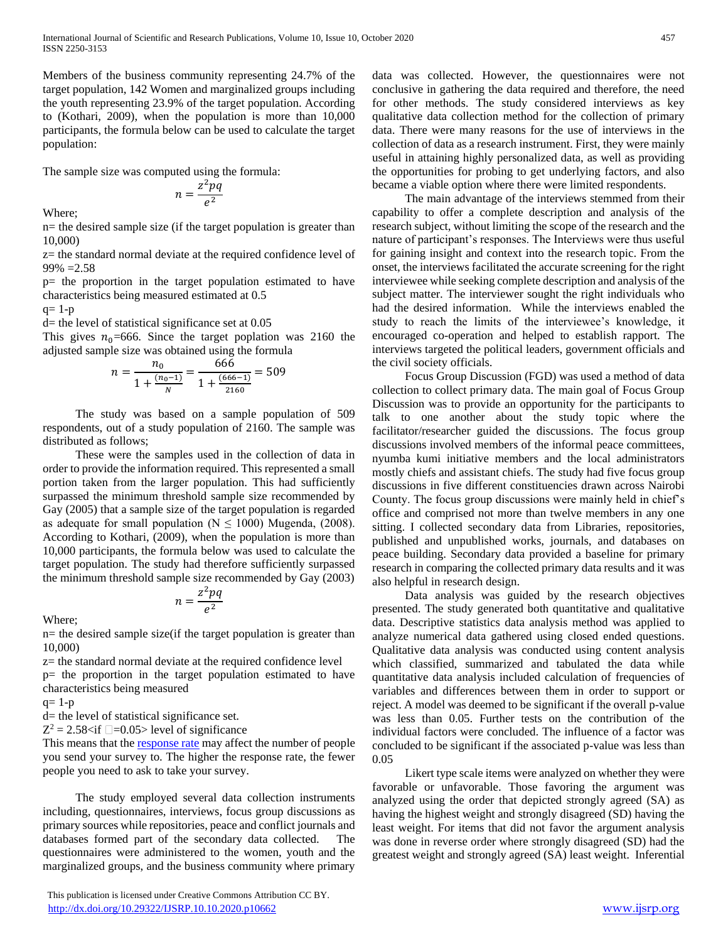Members of the business community representing 24.7% of the target population, 142 Women and marginalized groups including the youth representing 23.9% of the target population. According to (Kothari, 2009), when the population is more than 10,000 participants, the formula below can be used to calculate the target population:

The sample size was computed using the formula:

$$
n = \frac{z^2 pq}{e^2}
$$

Where;

n= the desired sample size (if the target population is greater than 10,000)

2

z= the standard normal deviate at the required confidence level of 99% =2.58

p= the proportion in the target population estimated to have characteristics being measured estimated at 0.5

 $q= 1-p$ 

 $d$ = the level of statistical significance set at  $0.05$ 

This gives  $n_0$ =666. Since the target poplation was 2160 the adjusted sample size was obtained using the formula

$$
n = \frac{n_0}{1 + \frac{(n_0 - 1)}{N}} = \frac{666}{1 + \frac{(666 - 1)}{2160}} = 509
$$

 The study was based on a sample population of 509 respondents, out of a study population of 2160. The sample was distributed as follows;

 These were the samples used in the collection of data in order to provide the information required. This represented a small portion taken from the larger population. This had sufficiently surpassed the minimum threshold sample size recommended by Gay (2005) that a sample size of the target population is regarded as adequate for small population ( $N \le 1000$ ) Mugenda, (2008). According to Kothari, (2009), when the population is more than 10,000 participants, the formula below was used to calculate the target population. The study had therefore sufficiently surpassed the minimum threshold sample size recommended by Gay (2003)

$$
n=\frac{z^2pq}{e^2}
$$

Where;

n= the desired sample size(if the target population is greater than 10,000)

z= the standard normal deviate at the required confidence level p= the proportion in the target population estimated to have characteristics being measured

 $q=1-p$ 

d= the level of statistical significance set.

 $Z^2 = 2.58 \times \text{if } \square = 0.05$  level of significance

This means that th[e response rate](https://help.surveymonkey.com/articles/en_US/kb/Response-Rate-Tips-How-to-improve-low-response-rates) may affect the number of people you send your survey to. The higher the response rate, the fewer people you need to ask to take your survey.

 The study employed several data collection instruments including, questionnaires, interviews, focus group discussions as primary sources while repositories, peace and conflict journals and databases formed part of the secondary data collected. The questionnaires were administered to the women, youth and the marginalized groups, and the business community where primary

 This publication is licensed under Creative Commons Attribution CC BY. <http://dx.doi.org/10.29322/IJSRP.10.10.2020.p10662> [www.ijsrp.org](http://ijsrp.org/)

data was collected. However, the questionnaires were not conclusive in gathering the data required and therefore, the need for other methods. The study considered interviews as key qualitative data collection method for the collection of primary data. There were many reasons for the use of interviews in the collection of data as a research instrument. First, they were mainly useful in attaining highly personalized data, as well as providing the opportunities for probing to get underlying factors, and also became a viable option where there were limited respondents.

 The main advantage of the interviews stemmed from their capability to offer a complete description and analysis of the research subject, without limiting the scope of the research and the nature of participant's responses. The Interviews were thus useful for gaining insight and context into the research topic. From the onset, the interviews facilitated the accurate screening for the right interviewee while seeking complete description and analysis of the subject matter. The interviewer sought the right individuals who had the desired information. While the interviews enabled the study to reach the limits of the interviewee's knowledge, it encouraged co-operation and helped to establish rapport. The interviews targeted the political leaders, government officials and the civil society officials.

 Focus Group Discussion (FGD) was used a method of data collection to collect primary data. The main goal of Focus Group Discussion was to provide an opportunity for the participants to talk to one another about the study topic where the facilitator/researcher guided the discussions. The focus group discussions involved members of the informal peace committees, nyumba kumi initiative members and the local administrators mostly chiefs and assistant chiefs. The study had five focus group discussions in five different constituencies drawn across Nairobi County. The focus group discussions were mainly held in chief's office and comprised not more than twelve members in any one sitting. I collected secondary data from Libraries, repositories, published and unpublished works, journals, and databases on peace building. Secondary data provided a baseline for primary research in comparing the collected primary data results and it was also helpful in research design.

 Data analysis was guided by the research objectives presented. The study generated both quantitative and qualitative data. Descriptive statistics data analysis method was applied to analyze numerical data gathered using closed ended questions. Qualitative data analysis was conducted using content analysis which classified, summarized and tabulated the data while quantitative data analysis included calculation of frequencies of variables and differences between them in order to support or reject. A model was deemed to be significant if the overall p-value was less than 0.05. Further tests on the contribution of the individual factors were concluded. The influence of a factor was concluded to be significant if the associated p-value was less than 0.05

 Likert type scale items were analyzed on whether they were favorable or unfavorable. Those favoring the argument was analyzed using the order that depicted strongly agreed (SA) as having the highest weight and strongly disagreed (SD) having the least weight. For items that did not favor the argument analysis was done in reverse order where strongly disagreed (SD) had the greatest weight and strongly agreed (SA) least weight. Inferential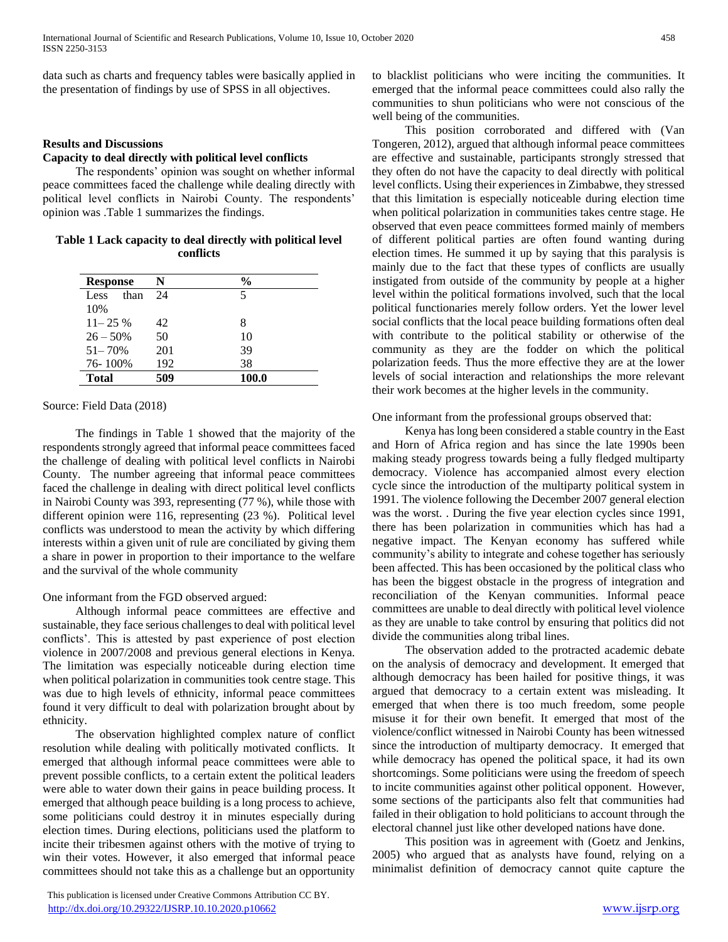data such as charts and frequency tables were basically applied in the presentation of findings by use of SPSS in all objectives.

#### **Results and Discussions**

## **Capacity to deal directly with political level conflicts**

 The respondents' opinion was sought on whether informal peace committees faced the challenge while dealing directly with political level conflicts in Nairobi County. The respondents' opinion was .Table 1 summarizes the findings.

**Table 1 Lack capacity to deal directly with political level conflicts**

| <b>Response</b> | N   | $\frac{6}{9}$ |
|-----------------|-----|---------------|
| than<br>Less    | 24  | 5             |
| 10%             |     |               |
| $11 - 25\%$     | 42  | 8             |
| $26 - 50\%$     | 50  | 10            |
| $51 - 70%$      | 201 | 39            |
| 76-100%         | 192 | 38            |
| <b>Total</b>    | 509 | 100.0         |
|                 |     |               |

#### Source: Field Data (2018)

 The findings in Table 1 showed that the majority of the respondents strongly agreed that informal peace committees faced the challenge of dealing with political level conflicts in Nairobi County. The number agreeing that informal peace committees faced the challenge in dealing with direct political level conflicts in Nairobi County was 393, representing (77 %), while those with different opinion were 116, representing (23 %). Political level conflicts was understood to mean the activity by which differing interests within a given unit of rule are conciliated by giving them a share in power in proportion to their importance to the welfare and the survival of the whole community

#### One informant from the FGD observed argued:

 Although informal peace committees are effective and sustainable, they face serious challenges to deal with political level conflicts'. This is attested by past experience of post election violence in 2007/2008 and previous general elections in Kenya. The limitation was especially noticeable during election time when political polarization in communities took centre stage. This was due to high levels of ethnicity, informal peace committees found it very difficult to deal with polarization brought about by ethnicity.

 The observation highlighted complex nature of conflict resolution while dealing with politically motivated conflicts. It emerged that although informal peace committees were able to prevent possible conflicts, to a certain extent the political leaders were able to water down their gains in peace building process. It emerged that although peace building is a long process to achieve, some politicians could destroy it in minutes especially during election times. During elections, politicians used the platform to incite their tribesmen against others with the motive of trying to win their votes. However, it also emerged that informal peace committees should not take this as a challenge but an opportunity

 This publication is licensed under Creative Commons Attribution CC BY. <http://dx.doi.org/10.29322/IJSRP.10.10.2020.p10662> [www.ijsrp.org](http://ijsrp.org/)

to blacklist politicians who were inciting the communities. It emerged that the informal peace committees could also rally the communities to shun politicians who were not conscious of the well being of the communities.

 This position corroborated and differed with (Van Tongeren, 2012), argued that although informal peace committees are effective and sustainable, participants strongly stressed that they often do not have the capacity to deal directly with political level conflicts. Using their experiences in Zimbabwe, they stressed that this limitation is especially noticeable during election time when political polarization in communities takes centre stage. He observed that even peace committees formed mainly of members of different political parties are often found wanting during election times. He summed it up by saying that this paralysis is mainly due to the fact that these types of conflicts are usually instigated from outside of the community by people at a higher level within the political formations involved, such that the local political functionaries merely follow orders. Yet the lower level social conflicts that the local peace building formations often deal with contribute to the political stability or otherwise of the community as they are the fodder on which the political polarization feeds. Thus the more effective they are at the lower levels of social interaction and relationships the more relevant their work becomes at the higher levels in the community.

#### One informant from the professional groups observed that:

 Kenya has long been considered a stable country in the East and Horn of Africa region and has since the late 1990s been making steady progress towards being a fully fledged multiparty democracy. Violence has accompanied almost every election cycle since the introduction of the multiparty political system in 1991. The violence following the December 2007 general election was the worst. . During the five year election cycles since 1991, there has been polarization in communities which has had a negative impact. The Kenyan economy has suffered while community's ability to integrate and cohese together has seriously been affected. This has been occasioned by the political class who has been the biggest obstacle in the progress of integration and reconciliation of the Kenyan communities. Informal peace committees are unable to deal directly with political level violence as they are unable to take control by ensuring that politics did not divide the communities along tribal lines.

 The observation added to the protracted academic debate on the analysis of democracy and development. It emerged that although democracy has been hailed for positive things, it was argued that democracy to a certain extent was misleading. It emerged that when there is too much freedom, some people misuse it for their own benefit. It emerged that most of the violence/conflict witnessed in Nairobi County has been witnessed since the introduction of multiparty democracy. It emerged that while democracy has opened the political space, it had its own shortcomings. Some politicians were using the freedom of speech to incite communities against other political opponent. However, some sections of the participants also felt that communities had failed in their obligation to hold politicians to account through the electoral channel just like other developed nations have done.

 This position was in agreement with (Goetz and Jenkins, 2005) who argued that as analysts have found, relying on a minimalist definition of democracy cannot quite capture the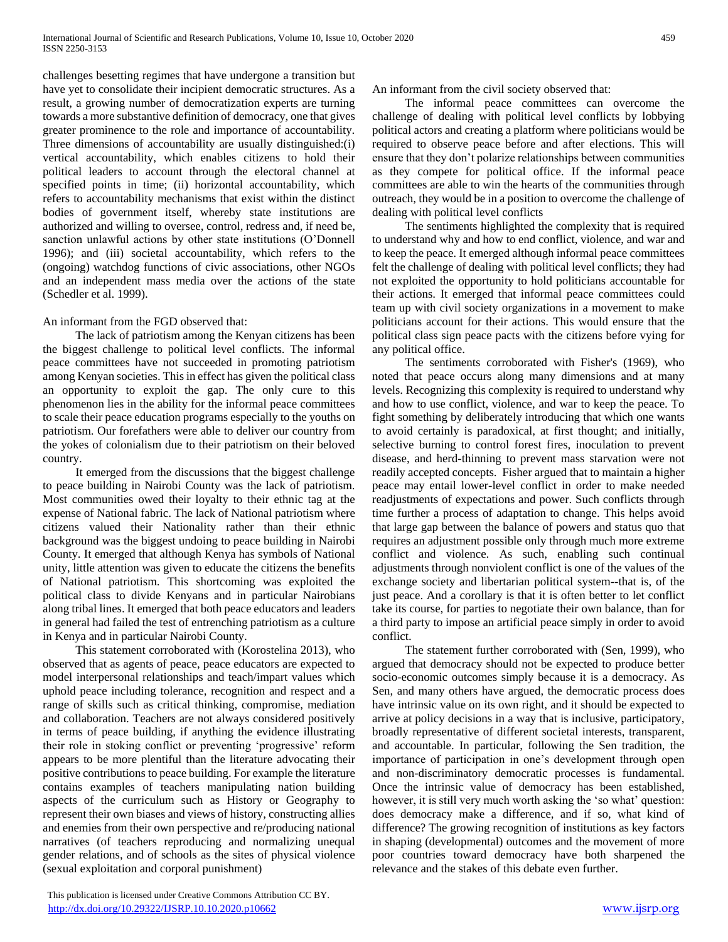challenges besetting regimes that have undergone a transition but have yet to consolidate their incipient democratic structures. As a result, a growing number of democratization experts are turning towards a more substantive definition of democracy, one that gives greater prominence to the role and importance of accountability. Three dimensions of accountability are usually distinguished:(i) vertical accountability, which enables citizens to hold their political leaders to account through the electoral channel at specified points in time; (ii) horizontal accountability, which refers to accountability mechanisms that exist within the distinct bodies of government itself, whereby state institutions are authorized and willing to oversee, control, redress and, if need be, sanction unlawful actions by other state institutions (O'Donnell 1996); and (iii) societal accountability, which refers to the (ongoing) watchdog functions of civic associations, other NGOs and an independent mass media over the actions of the state (Schedler et al. 1999).

## An informant from the FGD observed that:

 The lack of patriotism among the Kenyan citizens has been the biggest challenge to political level conflicts. The informal peace committees have not succeeded in promoting patriotism among Kenyan societies. This in effect has given the political class an opportunity to exploit the gap. The only cure to this phenomenon lies in the ability for the informal peace committees to scale their peace education programs especially to the youths on patriotism. Our forefathers were able to deliver our country from the yokes of colonialism due to their patriotism on their beloved country.

 It emerged from the discussions that the biggest challenge to peace building in Nairobi County was the lack of patriotism. Most communities owed their loyalty to their ethnic tag at the expense of National fabric. The lack of National patriotism where citizens valued their Nationality rather than their ethnic background was the biggest undoing to peace building in Nairobi County. It emerged that although Kenya has symbols of National unity, little attention was given to educate the citizens the benefits of National patriotism. This shortcoming was exploited the political class to divide Kenyans and in particular Nairobians along tribal lines. It emerged that both peace educators and leaders in general had failed the test of entrenching patriotism as a culture in Kenya and in particular Nairobi County.

 This statement corroborated with (Korostelina 2013), who observed that as agents of peace, peace educators are expected to model interpersonal relationships and teach/impart values which uphold peace including tolerance, recognition and respect and a range of skills such as critical thinking, compromise, mediation and collaboration. Teachers are not always considered positively in terms of peace building, if anything the evidence illustrating their role in stoking conflict or preventing 'progressive' reform appears to be more plentiful than the literature advocating their positive contributions to peace building. For example the literature contains examples of teachers manipulating nation building aspects of the curriculum such as History or Geography to represent their own biases and views of history, constructing allies and enemies from their own perspective and re/producing national narratives (of teachers reproducing and normalizing unequal gender relations, and of schools as the sites of physical violence (sexual exploitation and corporal punishment)

An informant from the civil society observed that:

 The informal peace committees can overcome the challenge of dealing with political level conflicts by lobbying political actors and creating a platform where politicians would be required to observe peace before and after elections. This will ensure that they don't polarize relationships between communities as they compete for political office. If the informal peace committees are able to win the hearts of the communities through outreach, they would be in a position to overcome the challenge of dealing with political level conflicts

 The sentiments highlighted the complexity that is required to understand why and how to end conflict, violence, and war and to keep the peace. It emerged although informal peace committees felt the challenge of dealing with political level conflicts; they had not exploited the opportunity to hold politicians accountable for their actions. It emerged that informal peace committees could team up with civil society organizations in a movement to make politicians account for their actions. This would ensure that the political class sign peace pacts with the citizens before vying for any political office.

 The sentiments corroborated with Fisher's (1969), who noted that peace occurs along many dimensions and at many levels. Recognizing this complexity is required to understand why and how to use conflict, violence, and war to keep the peace. To fight something by deliberately introducing that which one wants to avoid certainly is paradoxical, at first thought; and initially, selective burning to control forest fires, inoculation to prevent disease, and herd-thinning to prevent mass starvation were not readily accepted concepts. Fisher argued that to maintain a higher peace may entail lower-level conflict in order to make needed readjustments of expectations and power. Such conflicts through time further a process of adaptation to change. This helps avoid that large gap between the balance of powers and status quo that requires an adjustment possible only through much more extreme conflict and violence. As such, enabling such continual adjustments through nonviolent conflict is one of the values of the exchange society and libertarian political system--that is, of the just peace. And a corollary is that it is often better to let conflict take its course, for parties to negotiate their own balance, than for a third party to impose an artificial peace simply in order to avoid conflict.

 The statement further corroborated with (Sen, 1999), who argued that democracy should not be expected to produce better socio-economic outcomes simply because it is a democracy. As Sen, and many others have argued, the democratic process does have intrinsic value on its own right, and it should be expected to arrive at policy decisions in a way that is inclusive, participatory, broadly representative of different societal interests, transparent, and accountable. In particular, following the Sen tradition, the importance of participation in one's development through open and non-discriminatory democratic processes is fundamental. Once the intrinsic value of democracy has been established, however, it is still very much worth asking the 'so what' question: does democracy make a difference, and if so, what kind of difference? The growing recognition of institutions as key factors in shaping (developmental) outcomes and the movement of more poor countries toward democracy have both sharpened the relevance and the stakes of this debate even further.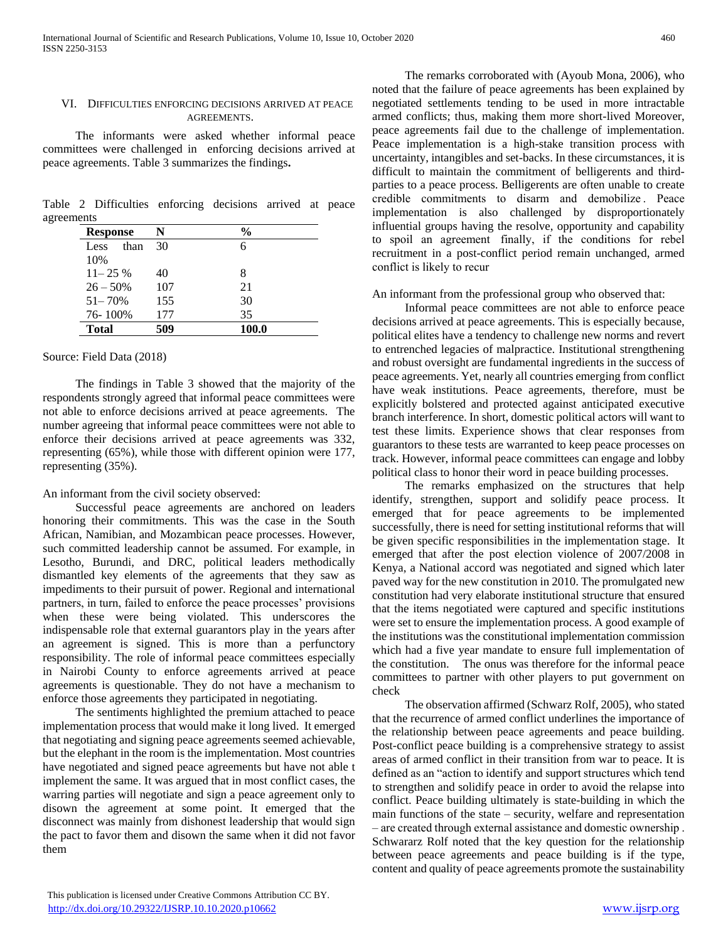## VI. DIFFICULTIES ENFORCING DECISIONS ARRIVED AT PEACE AGREEMENTS.

 The informants were asked whether informal peace committees were challenged in enforcing decisions arrived at peace agreements. Table 3 summarizes the findings**.**

Table 2 Difficulties enforcing decisions arrived at peace agreements

| <b>Response</b> | N   | %     |
|-----------------|-----|-------|
| than<br>Less    | 30  |       |
| 10%             |     |       |
| $11 - 25\%$     | 40  | 8     |
| $26 - 50\%$     | 107 | 21    |
| $51 - 70%$      | 155 | 30    |
| 76-100%         | 177 | 35    |
| <b>Total</b>    | 509 | 100.0 |

## Source: Field Data (2018)

 The findings in Table 3 showed that the majority of the respondents strongly agreed that informal peace committees were not able to enforce decisions arrived at peace agreements. The number agreeing that informal peace committees were not able to enforce their decisions arrived at peace agreements was 332, representing (65%), while those with different opinion were 177, representing (35%).

# An informant from the civil society observed:

 Successful peace agreements are anchored on leaders honoring their commitments. This was the case in the South African, Namibian, and Mozambican peace processes. However, such committed leadership cannot be assumed. For example, in Lesotho, Burundi, and DRC, political leaders methodically dismantled key elements of the agreements that they saw as impediments to their pursuit of power. Regional and international partners, in turn, failed to enforce the peace processes' provisions when these were being violated. This underscores the indispensable role that external guarantors play in the years after an agreement is signed. This is more than a perfunctory responsibility. The role of informal peace committees especially in Nairobi County to enforce agreements arrived at peace agreements is questionable. They do not have a mechanism to enforce those agreements they participated in negotiating.

 The sentiments highlighted the premium attached to peace implementation process that would make it long lived. It emerged that negotiating and signing peace agreements seemed achievable, but the elephant in the room is the implementation. Most countries have negotiated and signed peace agreements but have not able t implement the same. It was argued that in most conflict cases, the warring parties will negotiate and sign a peace agreement only to disown the agreement at some point. It emerged that the disconnect was mainly from dishonest leadership that would sign the pact to favor them and disown the same when it did not favor them

 The remarks corroborated with (Ayoub Mona, 2006), who noted that the failure of peace agreements has been explained by negotiated settlements tending to be used in more intractable armed conflicts; thus, making them more short-lived Moreover, peace agreements fail due to the challenge of implementation. Peace implementation is a high-stake transition process with uncertainty, intangibles and set-backs. In these circumstances, it is difficult to maintain the commitment of belligerents and thirdparties to a peace process. Belligerents are often unable to create credible commitments to disarm and demobilize . Peace implementation is also challenged by disproportionately influential groups having the resolve, opportunity and capability to spoil an agreement  finally, if the conditions for rebel recruitment in a post-conflict period remain unchanged, armed conflict is likely to recur 

## An informant from the professional group who observed that:

 Informal peace committees are not able to enforce peace decisions arrived at peace agreements. This is especially because, political elites have a tendency to challenge new norms and revert to entrenched legacies of malpractice. Institutional strengthening and robust oversight are fundamental ingredients in the success of peace agreements. Yet, nearly all countries emerging from conflict have weak institutions. Peace agreements, therefore, must be explicitly bolstered and protected against anticipated executive branch interference. In short, domestic political actors will want to test these limits. Experience shows that clear responses from guarantors to these tests are warranted to keep peace processes on track. However, informal peace committees can engage and lobby political class to honor their word in peace building processes.

 The remarks emphasized on the structures that help identify, strengthen, support and solidify peace process. It emerged that for peace agreements to be implemented successfully, there is need for setting institutional reforms that will be given specific responsibilities in the implementation stage. It emerged that after the post election violence of 2007/2008 in Kenya, a National accord was negotiated and signed which later paved way for the new constitution in 2010. The promulgated new constitution had very elaborate institutional structure that ensured that the items negotiated were captured and specific institutions were set to ensure the implementation process. A good example of the institutions was the constitutional implementation commission which had a five year mandate to ensure full implementation of the constitution. The onus was therefore for the informal peace committees to partner with other players to put government on check

 The observation affirmed (Schwarz Rolf, 2005), who stated that the recurrence of armed conflict underlines the importance of the relationship between peace agreements and peace building. Post-conflict peace building is a comprehensive strategy to assist areas of armed conflict in their transition from war to peace. It is defined as an "action to identify and support structures which tend to strengthen and solidify peace in order to avoid the relapse into conflict. Peace building ultimately is state-building in which the main functions of the state – security, welfare and representation – are created through external assistance and domestic ownership . Schwararz Rolf noted that the key question for the relationship between peace agreements and peace building is if the type, content and quality of peace agreements promote the sustainability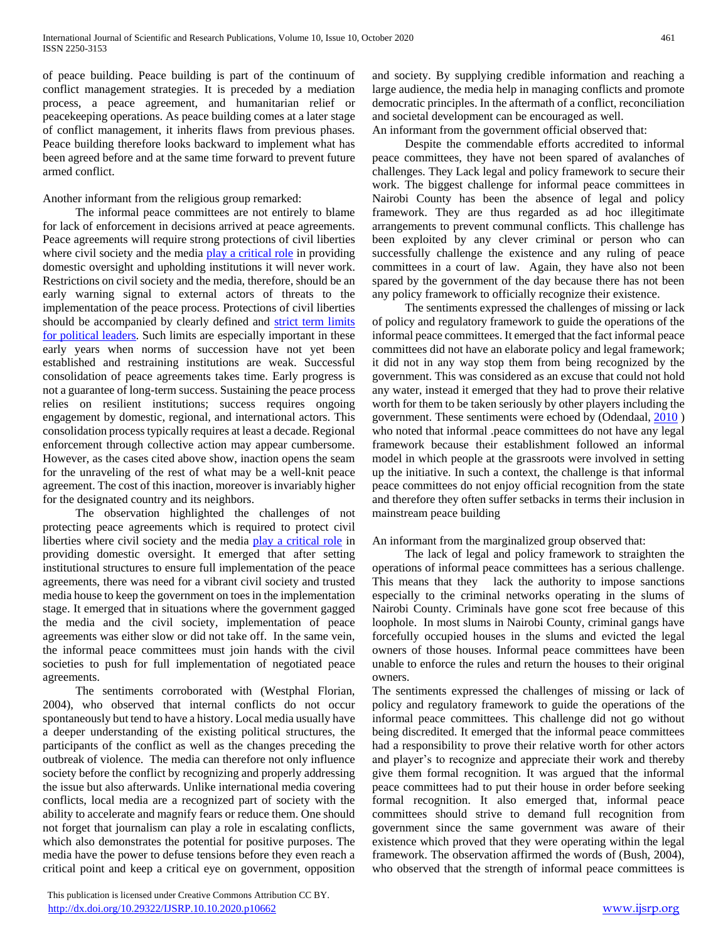of peace building. Peace building is part of the continuum of conflict management strategies. It is preceded by a mediation process, a peace agreement, and humanitarian relief or peacekeeping operations. As peace building comes at a later stage of conflict management, it inherits flaws from previous phases. Peace building therefore looks backward to implement what has been agreed before and at the same time forward to prevent future armed conflict.

## Another informant from the religious group remarked:

 The informal peace committees are not entirely to blame for lack of enforcement in decisions arrived at peace agreements. Peace agreements will require strong protections of civil liberties where civil society and the media [play a critical role](https://africacenter.org/wp-content/uploads/2016/02/Overcoming-Dilemmas-of-Democratisation_Siegle.pdf) in providing domestic oversight and upholding institutions it will never work. Restrictions on civil society and the media, therefore, should be an early warning signal to external actors of threats to the implementation of the peace process. Protections of civil liberties should be accompanied by clearly defined and [strict term limits](https://africacenter.org/spotlight/term-limits-for-african-leaders-linked-to-stability/)  [for political leaders.](https://africacenter.org/spotlight/term-limits-for-african-leaders-linked-to-stability/) Such limits are especially important in these early years when norms of succession have not yet been established and restraining institutions are weak. Successful consolidation of peace agreements takes time. Early progress is not a guarantee of long-term success. Sustaining the peace process relies on resilient institutions; success requires ongoing engagement by domestic, regional, and international actors. This consolidation process typically requires at least a decade. Regional enforcement through collective action may appear cumbersome. However, as the cases cited above show, inaction opens the seam for the unraveling of the rest of what may be a well-knit peace agreement. The cost of this inaction, moreover is invariably higher for the designated country and its neighbors.

 The observation highlighted the challenges of not protecting peace agreements which is required to protect civil liberties where civil society and the media [play a critical role](https://africacenter.org/wp-content/uploads/2016/02/Overcoming-Dilemmas-of-Democratisation_Siegle.pdf) in providing domestic oversight. It emerged that after setting institutional structures to ensure full implementation of the peace agreements, there was need for a vibrant civil society and trusted media house to keep the government on toes in the implementation stage. It emerged that in situations where the government gagged the media and the civil society, implementation of peace agreements was either slow or did not take off. In the same vein, the informal peace committees must join hands with the civil societies to push for full implementation of negotiated peace agreements.

 The sentiments corroborated with (Westphal Florian, 2004), who observed that internal conflicts do not occur spontaneously but tend to have a history. Local media usually have a deeper understanding of the existing political structures, the participants of the conflict as well as the changes preceding the outbreak of violence. The media can therefore not only influence society before the conflict by recognizing and properly addressing the issue but also afterwards. Unlike international media covering conflicts, local media are a recognized part of society with the ability to accelerate and magnify fears or reduce them. One should not forget that journalism can play a role in escalating conflicts, which also demonstrates the potential for positive purposes. The media have the power to defuse tensions before they even reach a critical point and keep a critical eye on government, opposition

and society. By supplying credible information and reaching a large audience, the media help in managing conflicts and promote democratic principles. In the aftermath of a conflict, reconciliation and societal development can be encouraged as well. An informant from the government official observed that:

 Despite the commendable efforts accredited to informal peace committees, they have not been spared of avalanches of challenges. They Lack legal and policy framework to secure their work. The biggest challenge for informal peace committees in Nairobi County has been the absence of legal and policy framework. They are thus regarded as ad hoc illegitimate arrangements to prevent communal conflicts. This challenge has been exploited by any clever criminal or person who can successfully challenge the existence and any ruling of peace committees in a court of law. Again, they have also not been spared by the government of the day because there has not been any policy framework to officially recognize their existence.

 The sentiments expressed the challenges of missing or lack of policy and regulatory framework to guide the operations of the informal peace committees. It emerged that the fact informal peace committees did not have an elaborate policy and legal framework; it did not in any way stop them from being recognized by the government. This was considered as an excuse that could not hold any water, instead it emerged that they had to prove their relative worth for them to be taken seriously by other players including the government. These sentiments were echoed by (Odendaal, [2010](https://aejonline.org/index.php/aej/article/view/241/375#CIT0027_241) ) who noted that informal .peace committees do not have any legal framework because their establishment followed an informal model in which people at the grassroots were involved in setting up the initiative. In such a context, the challenge is that informal peace committees do not enjoy official recognition from the state and therefore they often suffer setbacks in terms their inclusion in mainstream peace building

## An informant from the marginalized group observed that:

 The lack of legal and policy framework to straighten the operations of informal peace committees has a serious challenge. This means that they lack the authority to impose sanctions especially to the criminal networks operating in the slums of Nairobi County. Criminals have gone scot free because of this loophole. In most slums in Nairobi County, criminal gangs have forcefully occupied houses in the slums and evicted the legal owners of those houses. Informal peace committees have been unable to enforce the rules and return the houses to their original owners.

The sentiments expressed the challenges of missing or lack of policy and regulatory framework to guide the operations of the informal peace committees. This challenge did not go without being discredited. It emerged that the informal peace committees had a responsibility to prove their relative worth for other actors and player's to recognize and appreciate their work and thereby give them formal recognition. It was argued that the informal peace committees had to put their house in order before seeking formal recognition. It also emerged that, informal peace committees should strive to demand full recognition from government since the same government was aware of their existence which proved that they were operating within the legal framework. The observation affirmed the words of (Bush, 2004), who observed that the strength of informal peace committees is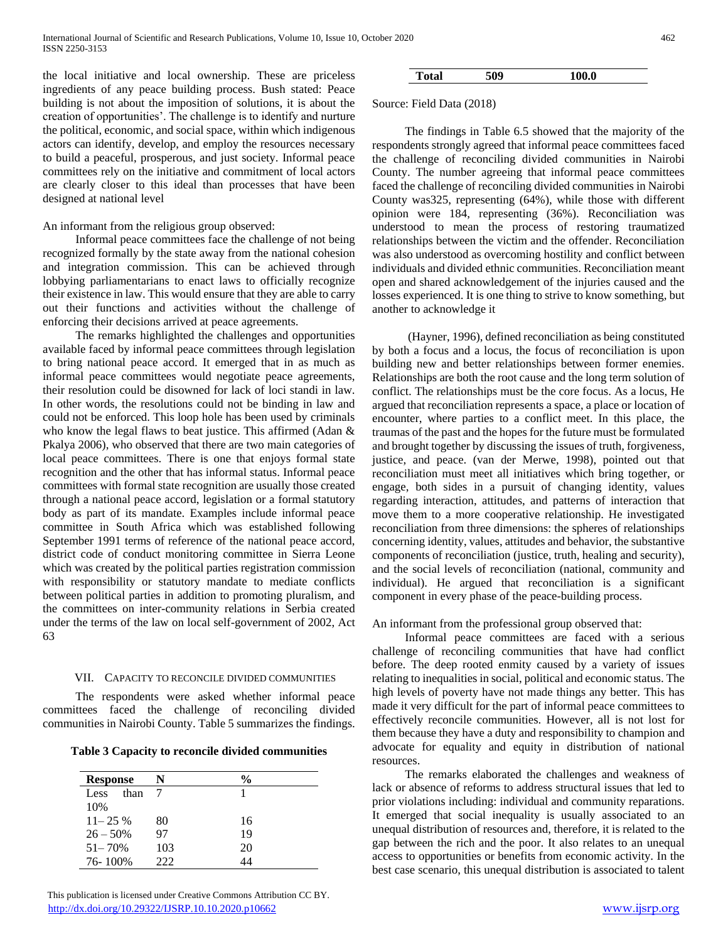the local initiative and local ownership. These are priceless ingredients of any peace building process. Bush stated: Peace building is not about the imposition of solutions, it is about the creation of opportunities'. The challenge is to identify and nurture the political, economic, and social space, within which indigenous actors can identify, develop, and employ the resources necessary to build a peaceful, prosperous, and just society. Informal peace committees rely on the initiative and commitment of local actors are clearly closer to this ideal than processes that have been designed at national level

#### An informant from the religious group observed:

 Informal peace committees face the challenge of not being recognized formally by the state away from the national cohesion and integration commission. This can be achieved through lobbying parliamentarians to enact laws to officially recognize their existence in law. This would ensure that they are able to carry out their functions and activities without the challenge of enforcing their decisions arrived at peace agreements.

 The remarks highlighted the challenges and opportunities available faced by informal peace committees through legislation to bring national peace accord. It emerged that in as much as informal peace committees would negotiate peace agreements, their resolution could be disowned for lack of loci standi in law. In other words, the resolutions could not be binding in law and could not be enforced. This loop hole has been used by criminals who know the legal flaws to beat justice. This affirmed (Adan & Pkalya 2006), who observed that there are two main categories of local peace committees. There is one that enjoys formal state recognition and the other that has informal status. Informal peace committees with formal state recognition are usually those created through a national peace accord, legislation or a formal statutory body as part of its mandate. Examples include informal peace committee in South Africa which was established following September 1991 terms of reference of the national peace accord, district code of conduct monitoring committee in Sierra Leone which was created by the political parties registration commission with responsibility or statutory mandate to mediate conflicts between political parties in addition to promoting pluralism, and the committees on inter-community relations in Serbia created under the terms of the law on local self-government of 2002, Act 63

#### VII. CAPACITY TO RECONCILE DIVIDED COMMUNITIES

 The respondents were asked whether informal peace committees faced the challenge of reconciling divided communities in Nairobi County. Table 5 summarizes the findings.

| Table 3 Capacity to reconcile divided communities |  |  |
|---------------------------------------------------|--|--|
|---------------------------------------------------|--|--|

| <b>Response</b> | N   | %  |
|-----------------|-----|----|
| than<br>Less    |     |    |
| 10%             |     |    |
| $11 - 25\%$     | 80  | 16 |
| $26 - 50\%$     | 97  | 19 |
| $51 - 70%$      | 103 | 20 |
| 76-100%         | フフフ |    |

 This publication is licensed under Creative Commons Attribution CC BY. <http://dx.doi.org/10.29322/IJSRP.10.10.2020.p10662> [www.ijsrp.org](http://ijsrp.org/)

# **Total 509 100.0**

Source: Field Data (2018)

 The findings in Table 6.5 showed that the majority of the respondents strongly agreed that informal peace committees faced the challenge of reconciling divided communities in Nairobi County. The number agreeing that informal peace committees faced the challenge of reconciling divided communities in Nairobi County was325, representing (64%), while those with different opinion were 184, representing (36%). Reconciliation was understood to mean the process of restoring traumatized relationships between the victim and the offender. Reconciliation was also understood as overcoming hostility and conflict between individuals and divided ethnic communities. Reconciliation meant open and shared acknowledgement of the injuries caused and the losses experienced. It is one thing to strive to know something, but another to acknowledge it

 (Hayner, 1996), defined reconciliation as being constituted by both a focus and a locus, the focus of reconciliation is upon building new and better relationships between former enemies. Relationships are both the root cause and the long term solution of conflict. The relationships must be the core focus. As a locus, He argued that reconciliation represents a space, a place or location of encounter, where parties to a conflict meet. In this place, the traumas of the past and the hopes for the future must be formulated and brought together by discussing the issues of truth, forgiveness, justice, and peace. (van der Merwe, 1998), pointed out that reconciliation must meet all initiatives which bring together, or engage, both sides in a pursuit of changing identity, values regarding interaction, attitudes, and patterns of interaction that move them to a more cooperative relationship. He investigated reconciliation from three dimensions: the spheres of relationships concerning identity, values, attitudes and behavior, the substantive components of reconciliation (justice, truth, healing and security), and the social levels of reconciliation (national, community and individual). He argued that reconciliation is a significant component in every phase of the peace-building process.

#### An informant from the professional group observed that:

 Informal peace committees are faced with a serious challenge of reconciling communities that have had conflict before. The deep rooted enmity caused by a variety of issues relating to inequalities in social, political and economic status. The high levels of poverty have not made things any better. This has made it very difficult for the part of informal peace committees to effectively reconcile communities. However, all is not lost for them because they have a duty and responsibility to champion and advocate for equality and equity in distribution of national resources.

 The remarks elaborated the challenges and weakness of lack or absence of reforms to address structural issues that led to prior violations including: individual and community reparations. It emerged that social inequality is usually associated to an unequal distribution of resources and, therefore, it is related to the gap between the rich and the poor. It also relates to an unequal access to opportunities or benefits from economic activity. In the best case scenario, this unequal distribution is associated to talent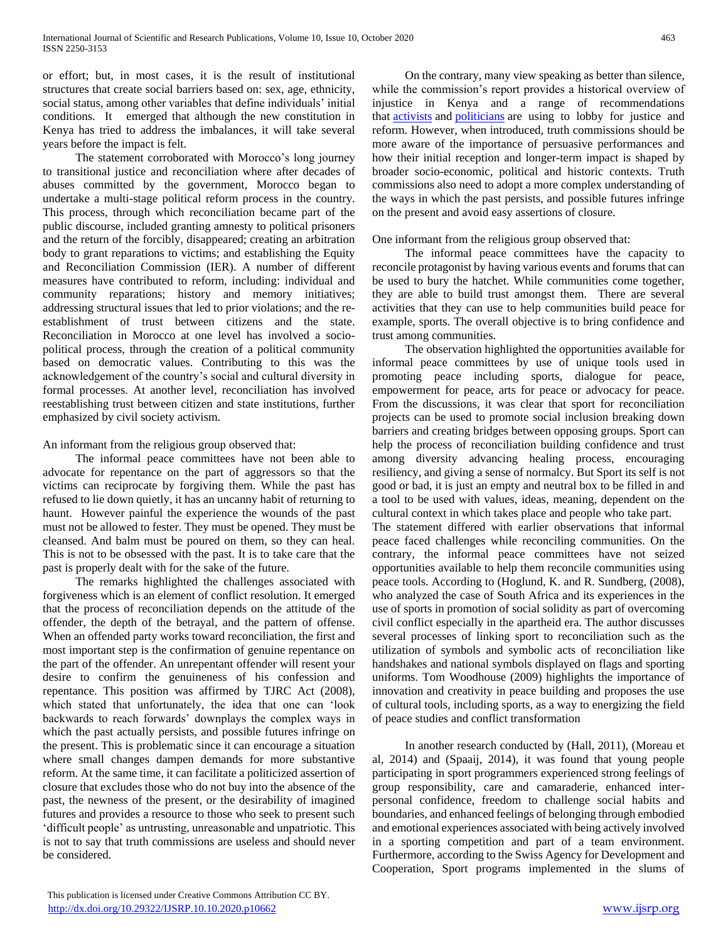or effort; but, in most cases, it is the result of institutional structures that create social barriers based on: sex, age, ethnicity, social status, among other variables that define individuals' initial conditions. It emerged that although the new constitution in Kenya has tried to address the imbalances, it will take several years before the impact is felt.

 The statement corroborated with Morocco's long journey to transitional justice and reconciliation where after decades of abuses committed by the government, Morocco began to undertake a multi-stage political reform process in the country. This process, through which reconciliation became part of the public discourse, included granting amnesty to political prisoners and the return of the forcibly, disappeared; creating an arbitration body to grant reparations to victims; and establishing the Equity and Reconciliation Commission (IER). A number of different measures have contributed to reform, including: individual and community reparations; history and memory initiatives; addressing structural issues that led to prior violations; and the reestablishment of trust between citizens and the state. Reconciliation in Morocco at one level has involved a sociopolitical process, through the creation of a political community based on democratic values. Contributing to this was the acknowledgement of the country's social and cultural diversity in formal processes. At another level, reconciliation has involved reestablishing trust between citizen and state institutions, further emphasized by civil society activism.

An informant from the religious group observed that:

 The informal peace committees have not been able to advocate for repentance on the part of aggressors so that the victims can reciprocate by forgiving them. While the past has refused to lie down quietly, it has an uncanny habit of returning to haunt. However painful the experience the wounds of the past must not be allowed to fester. They must be opened. They must be cleansed. And balm must be poured on them, so they can heal. This is not to be obsessed with the past. It is to take care that the past is properly dealt with for the sake of the future.

 The remarks highlighted the challenges associated with forgiveness which is an element of conflict resolution. It emerged that the process of reconciliation depends on the attitude of the offender, the depth of the betrayal, and the pattern of offense. When an offended party works toward reconciliation, the first and most important step is the confirmation of genuine repentance on the part of the offender. An unrepentant offender will resent your desire to confirm the genuineness of his confession and repentance. This position was affirmed by TJRC Act (2008), which stated that unfortunately, the idea that one can 'look backwards to reach forwards' downplays the complex ways in which the past actually persists, and possible futures infringe on the present. This is problematic since it can encourage a situation where small changes dampen demands for more substantive reform. At the same time, it can facilitate a politicized assertion of closure that excludes those who do not buy into the absence of the past, the newness of the present, or the desirability of imagined futures and provides a resource to those who seek to present such 'difficult people' as untrusting, unreasonable and unpatriotic. This is not to say that truth commissions are useless and should never be considered.

 On the contrary, many view speaking as better than silence, while the commission's report provides a historical overview of injustice in Kenya and a range of recommendations that [activists](https://www.ictj.org/news/victims-kenya-truth) and [politicians](https://www.the-star.co.ke/news/2017/07/31/nasa-to-implement-tjrc-report-and-reconcile-kenyans-kalonzo-tells_c1607081) are using to lobby for justice and reform. However, when introduced, truth commissions should be more aware of the importance of persuasive performances and how their initial reception and longer-term impact is shaped by broader socio-economic, political and historic contexts. Truth

One informant from the religious group observed that:

on the present and avoid easy assertions of closure.

 The informal peace committees have the capacity to reconcile protagonist by having various events and forums that can be used to bury the hatchet. While communities come together, they are able to build trust amongst them. There are several activities that they can use to help communities build peace for example, sports. The overall objective is to bring confidence and trust among communities.

commissions also need to adopt a more complex understanding of the ways in which the past persists, and possible futures infringe

 The observation highlighted the opportunities available for informal peace committees by use of unique tools used in promoting peace including sports, dialogue for peace, empowerment for peace, arts for peace or advocacy for peace. From the discussions, it was clear that sport for reconciliation projects can be used to promote social inclusion breaking down barriers and creating bridges between opposing groups. Sport can help the process of reconciliation building confidence and trust among diversity advancing healing process, encouraging resiliency, and giving a sense of normalcy. But Sport its self is not good or bad, it is just an empty and neutral box to be filled in and a tool to be used with values, ideas, meaning, dependent on the cultural context in which takes place and people who take part.

The statement differed with earlier observations that informal peace faced challenges while reconciling communities. On the contrary, the informal peace committees have not seized opportunities available to help them reconcile communities using peace tools. According to (Hoglund, K. and R. Sundberg, (2008), who analyzed the case of South Africa and its experiences in the use of sports in promotion of social solidity as part of overcoming civil conflict especially in the apartheid era. The author discusses several processes of linking sport to reconciliation such as the utilization of symbols and symbolic acts of reconciliation like handshakes and national symbols displayed on flags and sporting uniforms. Tom Woodhouse (2009) highlights the importance of innovation and creativity in peace building and proposes the use of cultural tools, including sports, as a way to energizing the field of peace studies and conflict transformation

 In another research conducted by (Hall, 2011), (Moreau et al, 2014) and (Spaaij, 2014), it was found that young people participating in sport programmers experienced strong feelings of group responsibility, care and camaraderie, enhanced interpersonal confidence, freedom to challenge social habits and boundaries, and enhanced feelings of belonging through embodied and emotional experiences associated with being actively involved in a sporting competition and part of a team environment. Furthermore, according to the Swiss Agency for Development and Cooperation, Sport programs implemented in the slums of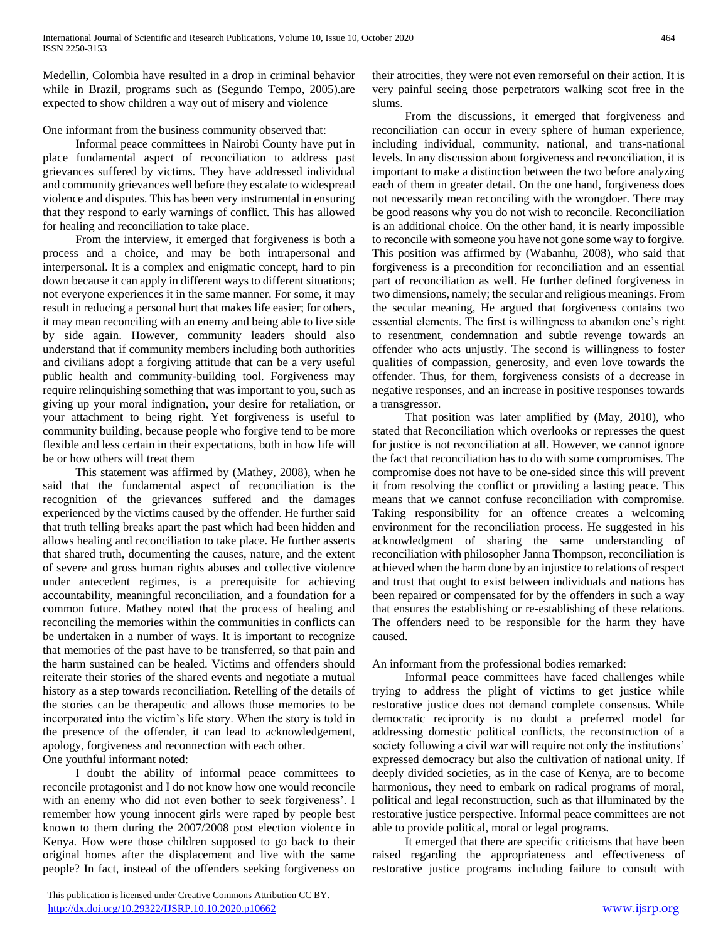Medellin, Colombia have resulted in a drop in criminal behavior while in Brazil, programs such as (Segundo Tempo, 2005).are expected to show children a way out of misery and violence

One informant from the business community observed that:

 Informal peace committees in Nairobi County have put in place fundamental aspect of reconciliation to address past grievances suffered by victims. They have addressed individual and community grievances well before they escalate to widespread violence and disputes. This has been very instrumental in ensuring that they respond to early warnings of conflict. This has allowed for healing and reconciliation to take place.

 From the interview, it emerged that forgiveness is both a process and a choice, and may be both intrapersonal and interpersonal. It is a complex and enigmatic concept, hard to pin down because it can apply in different ways to different situations; not everyone experiences it in the same manner. For some, it may result in reducing a personal hurt that makes life easier; for others, it may mean reconciling with an enemy and being able to live side by side again. However, community leaders should also understand that if community members including both authorities and civilians adopt a forgiving attitude that can be a very useful public health and community-building tool. Forgiveness may require relinquishing something that was important to you, such as giving up your moral indignation, your desire for retaliation, or your attachment to being right. Yet forgiveness is useful to community building, because people who forgive tend to be more flexible and less certain in their expectations, both in how life will be or how others will treat them

 This statement was affirmed by (Mathey, 2008), when he said that the fundamental aspect of reconciliation is the recognition of the grievances suffered and the damages experienced by the victims caused by the offender. He further said that truth telling breaks apart the past which had been hidden and allows healing and reconciliation to take place. He further asserts that shared truth, documenting the causes, nature, and the extent of severe and gross human rights abuses and collective violence under antecedent regimes, is a prerequisite for achieving accountability, meaningful reconciliation, and a foundation for a common future. Mathey noted that the process of healing and reconciling the memories within the communities in conflicts can be undertaken in a number of ways. It is important to recognize that memories of the past have to be transferred, so that pain and the harm sustained can be healed. Victims and offenders should reiterate their stories of the shared events and negotiate a mutual history as a step towards reconciliation. Retelling of the details of the stories can be therapeutic and allows those memories to be incorporated into the victim's life story. When the story is told in the presence of the offender, it can lead to acknowledgement, apology, forgiveness and reconnection with each other. One youthful informant noted:

 I doubt the ability of informal peace committees to reconcile protagonist and I do not know how one would reconcile with an enemy who did not even bother to seek forgiveness'. I remember how young innocent girls were raped by people best known to them during the 2007/2008 post election violence in Kenya. How were those children supposed to go back to their original homes after the displacement and live with the same people? In fact, instead of the offenders seeking forgiveness on

 This publication is licensed under Creative Commons Attribution CC BY. <http://dx.doi.org/10.29322/IJSRP.10.10.2020.p10662> [www.ijsrp.org](http://ijsrp.org/)

their atrocities, they were not even remorseful on their action. It is very painful seeing those perpetrators walking scot free in the slums.

 From the discussions, it emerged that forgiveness and reconciliation can occur in every sphere of human experience, including individual, community, national, and trans-national levels. In any discussion about forgiveness and reconciliation, it is important to make a distinction between the two before analyzing each of them in greater detail. On the one hand, forgiveness does not necessarily mean reconciling with the wrongdoer. There may be good reasons why you do not wish to reconcile. Reconciliation is an additional choice. On the other hand, it is nearly impossible to reconcile with someone you have not gone some way to forgive. This position was affirmed by (Wabanhu, 2008), who said that forgiveness is a precondition for reconciliation and an essential part of reconciliation as well. He further defined forgiveness in two dimensions, namely; the secular and religious meanings. From the secular meaning, He argued that forgiveness contains two essential elements. The first is willingness to abandon one's right to resentment, condemnation and subtle revenge towards an offender who acts unjustly. The second is willingness to foster qualities of compassion, generosity, and even love towards the offender. Thus, for them, forgiveness consists of a decrease in negative responses, and an increase in positive responses towards a transgressor.

 That position was later amplified by (May, 2010), who stated that Reconciliation which overlooks or represses the quest for justice is not reconciliation at all. However, we cannot ignore the fact that reconciliation has to do with some compromises. The compromise does not have to be one-sided since this will prevent it from resolving the conflict or providing a lasting peace. This means that we cannot confuse reconciliation with compromise. Taking responsibility for an offence creates a welcoming environment for the reconciliation process. He suggested in his acknowledgment of sharing the same understanding of reconciliation with philosopher Janna Thompson, reconciliation is achieved when the harm done by an injustice to relations of respect and trust that ought to exist between individuals and nations has been repaired or compensated for by the offenders in such a way that ensures the establishing or re-establishing of these relations. The offenders need to be responsible for the harm they have caused.

An informant from the professional bodies remarked:

 Informal peace committees have faced challenges while trying to address the plight of victims to get justice while restorative justice does not demand complete consensus. While democratic reciprocity is no doubt a preferred model for addressing domestic political conflicts, the reconstruction of a society following a civil war will require not only the institutions' expressed democracy but also the cultivation of national unity. If deeply divided societies, as in the case of Kenya, are to become harmonious, they need to embark on radical programs of moral, political and legal reconstruction, such as that illuminated by the restorative justice perspective. Informal peace committees are not able to provide political, moral or legal programs.

 It emerged that there are specific criticisms that have been raised regarding the appropriateness and effectiveness of restorative justice programs including failure to consult with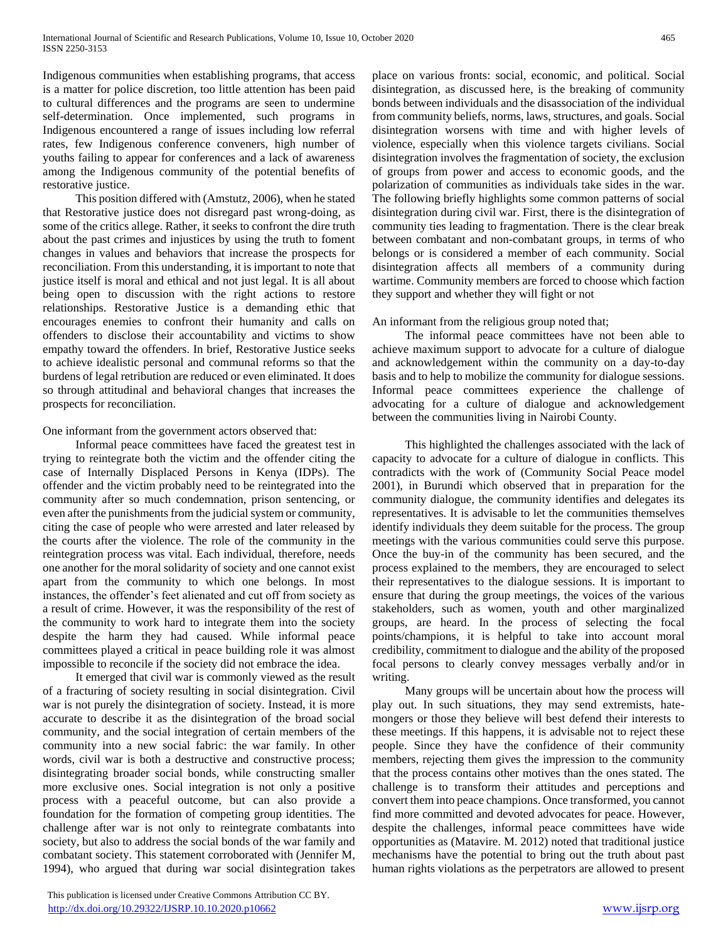Indigenous communities when establishing programs, that access is a matter for police discretion, too little attention has been paid to cultural differences and the programs are seen to undermine self-determination. Once implemented, such programs in Indigenous encountered a range of issues including low referral rates, few Indigenous conference conveners, high number of youths failing to appear for conferences and a lack of awareness among the Indigenous community of the potential benefits of restorative justice.

 This position differed with (Amstutz, 2006), when he stated that Restorative justice does not disregard past wrong-doing, as some of the critics allege. Rather, it seeks to confront the dire truth about the past crimes and injustices by using the truth to foment changes in values and behaviors that increase the prospects for reconciliation. From this understanding, it is important to note that justice itself is moral and ethical and not just legal. It is all about being open to discussion with the right actions to restore relationships. Restorative Justice is a demanding ethic that encourages enemies to confront their humanity and calls on offenders to disclose their accountability and victims to show empathy toward the offenders. In brief, Restorative Justice seeks to achieve idealistic personal and communal reforms so that the burdens of legal retribution are reduced or even eliminated. It does so through attitudinal and behavioral changes that increases the prospects for reconciliation.

## One informant from the government actors observed that:

 Informal peace committees have faced the greatest test in trying to reintegrate both the victim and the offender citing the case of Internally Displaced Persons in Kenya (IDPs). The offender and the victim probably need to be reintegrated into the community after so much condemnation, prison sentencing, or even after the punishments from the judicial system or community, citing the case of people who were arrested and later released by the courts after the violence. The role of the community in the reintegration process was vital. Each individual, therefore, needs one another for the moral solidarity of society and one cannot exist apart from the community to which one belongs. In most instances, the offender's feet alienated and cut off from society as a result of crime. However, it was the responsibility of the rest of the community to work hard to integrate them into the society despite the harm they had caused. While informal peace committees played a critical in peace building role it was almost impossible to reconcile if the society did not embrace the idea.

 It emerged that civil war is commonly viewed as the result of a fracturing of society resulting in social disintegration. Civil war is not purely the disintegration of society. Instead, it is more accurate to describe it as the disintegration of the broad social community, and the social integration of certain members of the community into a new social fabric: the war family. In other words, civil war is both a destructive and constructive process; disintegrating broader social bonds, while constructing smaller more exclusive ones. Social integration is not only a positive process with a peaceful outcome, but can also provide a foundation for the formation of competing group identities. The challenge after war is not only to reintegrate combatants into society, but also to address the social bonds of the war family and combatant society. This statement corroborated with (Jennifer M, 1994), who argued that during war social disintegration takes place on various fronts: social, economic, and political. Social disintegration, as discussed here, is the breaking of community bonds between individuals and the disassociation of the individual from community beliefs, norms, laws, structures, and goals. Social disintegration worsens with time and with higher levels of violence, especially when this violence targets civilians. Social disintegration involves the fragmentation of society, the exclusion of groups from power and access to economic goods, and the polarization of communities as individuals take sides in the war. The following briefly highlights some common patterns of social disintegration during civil war. First, there is the disintegration of community ties leading to fragmentation. There is the clear break between combatant and non-combatant groups, in terms of who belongs or is considered a member of each community. Social disintegration affects all members of a community during wartime. Community members are forced to choose which faction they support and whether they will fight or not

#### An informant from the religious group noted that;

 The informal peace committees have not been able to achieve maximum support to advocate for a culture of dialogue and acknowledgement within the community on a day-to-day basis and to help to mobilize the community for dialogue sessions. Informal peace committees experience the challenge of advocating for a culture of dialogue and acknowledgement between the communities living in Nairobi County.

 This highlighted the challenges associated with the lack of capacity to advocate for a culture of dialogue in conflicts. This contradicts with the work of (Community Social Peace model 2001), in Burundi which observed that in preparation for the community dialogue, the community identifies and delegates its representatives. It is advisable to let the communities themselves identify individuals they deem suitable for the process. The group meetings with the various communities could serve this purpose. Once the buy-in of the community has been secured, and the process explained to the members, they are encouraged to select their representatives to the dialogue sessions. It is important to ensure that during the group meetings, the voices of the various stakeholders, such as women, youth and other marginalized groups, are heard. In the process of selecting the focal points/champions, it is helpful to take into account moral credibility, commitment to dialogue and the ability of the proposed focal persons to clearly convey messages verbally and/or in writing.

 Many groups will be uncertain about how the process will play out. In such situations, they may send extremists, hatemongers or those they believe will best defend their interests to these meetings. If this happens, it is advisable not to reject these people. Since they have the confidence of their community members, rejecting them gives the impression to the community that the process contains other motives than the ones stated. The challenge is to transform their attitudes and perceptions and convert them into peace champions. Once transformed, you cannot find more committed and devoted advocates for peace. However, despite the challenges, informal peace committees have wide opportunities as (Matavire. M. 2012) noted that traditional justice mechanisms have the potential to bring out the truth about past human rights violations as the perpetrators are allowed to present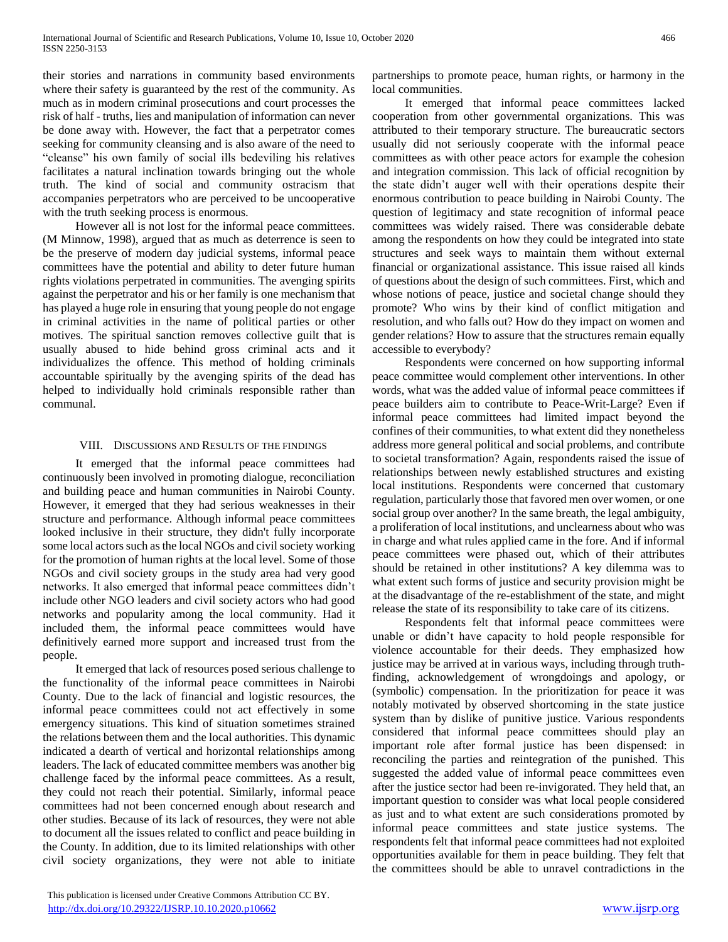their stories and narrations in community based environments where their safety is guaranteed by the rest of the community. As much as in modern criminal prosecutions and court processes the risk of half - truths, lies and manipulation of information can never be done away with. However, the fact that a perpetrator comes seeking for community cleansing and is also aware of the need to "cleanse" his own family of social ills bedeviling his relatives facilitates a natural inclination towards bringing out the whole truth. The kind of social and community ostracism that accompanies perpetrators who are perceived to be uncooperative with the truth seeking process is enormous.

 However all is not lost for the informal peace committees. (M Minnow, 1998), argued that as much as deterrence is seen to be the preserve of modern day judicial systems, informal peace committees have the potential and ability to deter future human rights violations perpetrated in communities. The avenging spirits against the perpetrator and his or her family is one mechanism that has played a huge role in ensuring that young people do not engage in criminal activities in the name of political parties or other motives. The spiritual sanction removes collective guilt that is usually abused to hide behind gross criminal acts and it individualizes the offence. This method of holding criminals accountable spiritually by the avenging spirits of the dead has helped to individually hold criminals responsible rather than communal.

#### VIII. DISCUSSIONS AND RESULTS OF THE FINDINGS

 It emerged that the informal peace committees had continuously been involved in promoting dialogue, reconciliation and building peace and human communities in Nairobi County. However, it emerged that they had serious weaknesses in their structure and performance. Although informal peace committees looked inclusive in their structure, they didn't fully incorporate some local actors such as the local NGOs and civil society working for the promotion of human rights at the local level. Some of those NGOs and civil society groups in the study area had very good networks. It also emerged that informal peace committees didn't include other NGO leaders and civil society actors who had good networks and popularity among the local community. Had it included them, the informal peace committees would have definitively earned more support and increased trust from the people.

 It emerged that lack of resources posed serious challenge to the functionality of the informal peace committees in Nairobi County. Due to the lack of financial and logistic resources, the informal peace committees could not act effectively in some emergency situations. This kind of situation sometimes strained the relations between them and the local authorities. This dynamic indicated a dearth of vertical and horizontal relationships among leaders. The lack of educated committee members was another big challenge faced by the informal peace committees. As a result, they could not reach their potential. Similarly, informal peace committees had not been concerned enough about research and other studies. Because of its lack of resources, they were not able to document all the issues related to conflict and peace building in the County. In addition, due to its limited relationships with other civil society organizations, they were not able to initiate

partnerships to promote peace, human rights, or harmony in the local communities.

 It emerged that informal peace committees lacked cooperation from other governmental organizations. This was attributed to their temporary structure. The bureaucratic sectors usually did not seriously cooperate with the informal peace committees as with other peace actors for example the cohesion and integration commission. This lack of official recognition by the state didn't auger well with their operations despite their enormous contribution to peace building in Nairobi County. The question of legitimacy and state recognition of informal peace committees was widely raised. There was considerable debate among the respondents on how they could be integrated into state structures and seek ways to maintain them without external financial or organizational assistance. This issue raised all kinds of questions about the design of such committees. First, which and whose notions of peace, justice and societal change should they promote? Who wins by their kind of conflict mitigation and resolution, and who falls out? How do they impact on women and gender relations? How to assure that the structures remain equally accessible to everybody?

 Respondents were concerned on how supporting informal peace committee would complement other interventions. In other words, what was the added value of informal peace committees if peace builders aim to contribute to Peace-Writ-Large? Even if informal peace committees had limited impact beyond the confines of their communities, to what extent did they nonetheless address more general political and social problems, and contribute to societal transformation? Again, respondents raised the issue of relationships between newly established structures and existing local institutions. Respondents were concerned that customary regulation, particularly those that favored men over women, or one social group over another? In the same breath, the legal ambiguity, a proliferation of local institutions, and unclearness about who was in charge and what rules applied came in the fore. And if informal peace committees were phased out, which of their attributes should be retained in other institutions? A key dilemma was to what extent such forms of justice and security provision might be at the disadvantage of the re-establishment of the state, and might release the state of its responsibility to take care of its citizens.

 Respondents felt that informal peace committees were unable or didn't have capacity to hold people responsible for violence accountable for their deeds. They emphasized how justice may be arrived at in various ways, including through truthfinding, acknowledgement of wrongdoings and apology, or (symbolic) compensation. In the prioritization for peace it was notably motivated by observed shortcoming in the state justice system than by dislike of punitive justice. Various respondents considered that informal peace committees should play an important role after formal justice has been dispensed: in reconciling the parties and reintegration of the punished. This suggested the added value of informal peace committees even after the justice sector had been re-invigorated. They held that, an important question to consider was what local people considered as just and to what extent are such considerations promoted by informal peace committees and state justice systems. The respondents felt that informal peace committees had not exploited opportunities available for them in peace building. They felt that the committees should be able to unravel contradictions in the